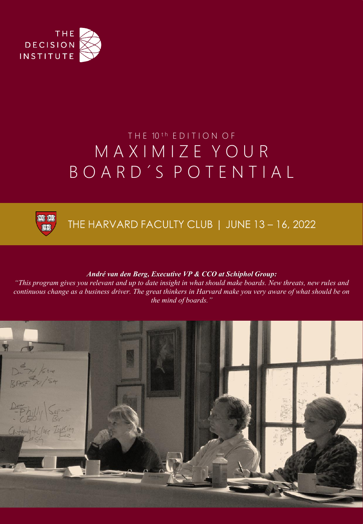

# THE 10<sup>th</sup> EDITION OF M A X I M I Z E Y O U R B O A R D ´ S P O T E N T I A L



THE HARVARD FACULTY CLUB | JUNE 13 - 16, 2022

#### *André van den Berg, Executive VP & CCO at Schiphol Group:*

*"This program gives you relevant and up to date insight in what should make boards. New threats, new rules and continuous change as a business driver. The great thinkers in Harvard make you very aware of what should be on the mind of boards."*

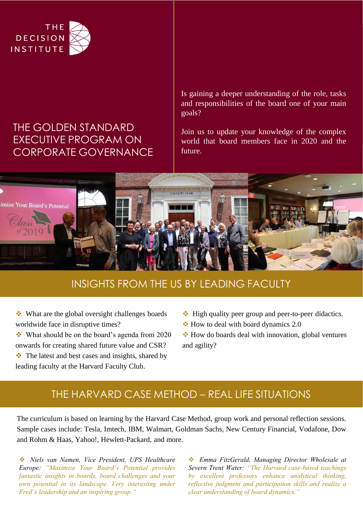

#### THE GOLDEN STANDARD EXECUTIVE PROGRAM ON CORPORATE GOVERNANCE

Is gaining a deeper understanding of the role, tasks and responsibilities of the board one of your main goals?

Join us to update your knowledge of the complex world that board members face in 2020 and the future.



#### INSIGHTS FROM THE US BY LEADING FACULTY

❖ What are the global oversight challenges boards worldwide face in disruptive times?

❖ What should be on the board's agenda from 2020 onwards for creating shared future value and CSR?

❖ The latest and best cases and insights, shared by leading faculty at the Harvard Faculty Club.

- ❖ High quality peer group and peer-to-peer didactics.
- ❖ How to deal with board dynamics 2.0

❖ How do boards deal with innovation, global ventures and agility?

#### THE HARVARD CASE METHOD – REAL LIFE SITUATIONS

The curriculum is based on learning by the Harvard Case Method, group work and personal reflection sessions. Sample cases include: Tesla, Imtech, IBM, Walmart, Goldman Sachs, New Century Financial, Vodafone, Dow and Rohm & Haas, Yahoo!, Hewlett-Packard, and more.

❖ *Niels van Namen, Vice President, UPS Healthcare Europe: "Maximize Your Board's Potential provides fantastic insights in boards, board challenges and your own potential in its landscape. Very interesting under Fred's leadership and an inspiring group."*

❖ *Emma FitzGerald, Managing Director Wholesale at Severn Trent Water: "The Harvard case-based teachings by excellent professors enhance analytical thinking, reflective judgment and participation skills and realize a clear understanding of board dynamics."*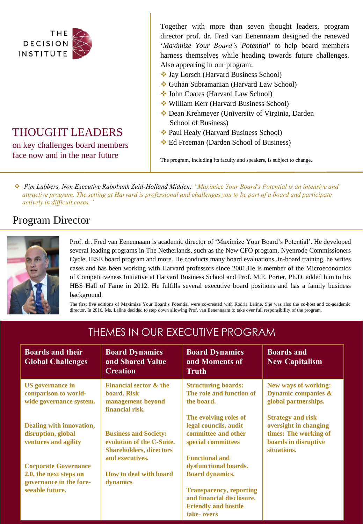

### THOUGHT LEADERS

on key challenges board members face now and in the near future

Together with more than seven thought leaders, program director prof. dr. Fred van Eenennaam designed the renewed '*Maximize Your Board's Potential*' to help board members harness themselves while heading towards future challenges. Also appearing in our program:

- ❖ Jay Lorsch (Harvard Business School)
- ❖ Guhan Subramanian (Harvard Law School)
- ❖ John Coates (Harvard Law School)
- ❖ William Kerr (Harvard Business School)
- ❖ Dean Krehmeyer (University of Virginia, Darden School of Business)
- ❖ Paul Healy (Harvard Business School)
- ❖ Ed Freeman (Darden School of Business)

The program, including its faculty and speakers, is subject to change.

❖ *Pim Lubbers, Non Executive Rabobank Zuid-Holland Midden: "Maximize Your Board's Potential is an intensive and attractive program. The setting at Harvard is professional and challenges you to be part of a board and participate actively in difficult cases."*

#### Program Director



Prof. dr. Fred van Eenennaam is academic director of 'Maximize Your Board's Potential'. He developed several leading programs in The Netherlands, such as the New CFO program, Nyenrode Commissioners Cycle, IESE board program and more. He conducts many board evaluations, in-board training, he writes cases and has been working with Harvard professors since 2001.He is member of the Microeconomics of Competitiveness Initiative at Harvard Business School and Prof. M.E. Porter, Ph.D. added him to his HBS Hall of Fame in 2012. He fulfills several executive board positions and has a family business background.

The first five editions of Maximize Your Board's Potential were co-created with Rodria Laline. She was also the co-host and co-academic director. In 2016, Ms. Laline decided to step down allowing Prof. van Eenennaam to take over full responsibility of the program.

| <b>Boards and their</b><br><b>Global Challenges</b>                                                 | <b>Board Dynamics</b><br>and Shared Value<br><b>Creation</b>                                                   | <b>Board Dynamics</b><br>and Moments of<br>Truth                                                                                                            | <b>Boards and</b><br><b>New Capitalism</b>                                                                        |
|-----------------------------------------------------------------------------------------------------|----------------------------------------------------------------------------------------------------------------|-------------------------------------------------------------------------------------------------------------------------------------------------------------|-------------------------------------------------------------------------------------------------------------------|
| <b>US</b> governance in<br>comparison to world-<br>wide governance system.                          | <b>Financial sector &amp; the</b><br>board. Risk<br>management beyond<br>financial risk.                       | <b>Structuring boards:</b><br>The role and function of<br>the board.                                                                                        | New ways of working:<br><b>Dynamic companies &amp;</b><br>global partnerships.                                    |
| Dealing with innovation,<br>disruption, global<br>ventures and agility                              | <b>Business and Society:</b><br>evolution of the C-Suite.<br><b>Shareholders, directors</b><br>and executives. | The evolving roles of<br>legal councils, audit<br>committee and other<br>special committees<br><b>Functional and</b>                                        | <b>Strategy and risk</b><br>oversight in changing<br>times: The working of<br>boards in disruptive<br>situations. |
| <b>Corporate Governance</b><br>2.0, the next steps on<br>governance in the fore-<br>seeable future. | How to deal with board<br>dynamics                                                                             | dysfunctional boards.<br><b>Board dynamics.</b><br><b>Transparency, reporting</b><br>and financial disclosure.<br><b>Friendly and hostile</b><br>take-overs |                                                                                                                   |

### THEMES IN OUR EXECUTIVE PROGRAM